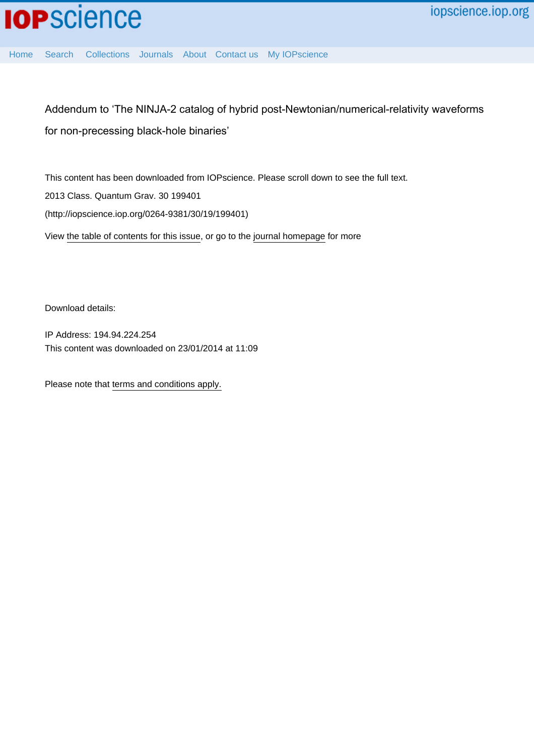

[Home](http://iopscience.iop.org/) [Search](http://iopscience.iop.org/search) [Collections](http://iopscience.iop.org/collections) [Journals](http://iopscience.iop.org/journals) [About](http://iopscience.iop.org/page/aboutioppublishing) [Contact us](http://iopscience.iop.org/contact) [My IOPscience](http://iopscience.iop.org/myiopscience)

Addendum to 'The NINJA-2 catalog of hybrid post-Newtonian/numerical-relativity waveforms for non-precessing black-hole binaries'

This content has been downloaded from IOPscience. Please scroll down to see the full text. View [the table of contents for this issue](http://iopscience.iop.org/0264-9381/30/19), or go to the [journal homepage](http://iopscience.iop.org/0264-9381) for more 2013 Class. Quantum Grav. 30 199401 (http://iopscience.iop.org/0264-9381/30/19/199401)

Download details:

IP Address: 194.94.224.254 This content was downloaded on 23/01/2014 at 11:09

Please note that [terms and conditions apply.](iopscience.iop.org/page/terms)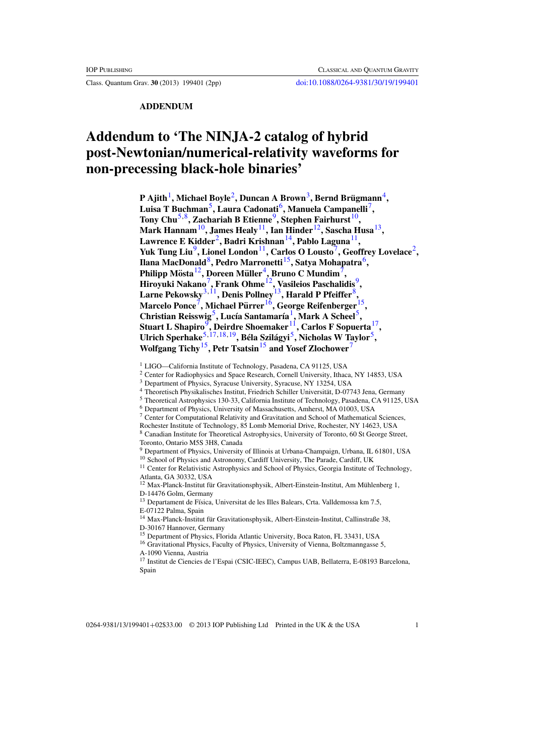Class. Quantum Grav. **30** (2013) 199401 (2pp) [doi:10.1088/0264-9381/30/19/199401](http://dx.doi.org/10.1088/0264-9381/30/19/199401)

**ADDENDUM**

## **Addendum to 'The NINJA-2 catalog of hybrid post-Newtonian/numerical-relativity waveforms for non-precessing black-hole binaries'**

**P Ajith**1**, Michael Boyle**2**, Duncan A Brown**3**, Bernd Brugmann ¨** <sup>4</sup>**, Luisa T Buchman**5**, Laura Cadonati**6**, Manuela Campanelli**7**, Tony Chu**<sup>5,8</sup>, Zachariah B Etienne<sup>9</sup>, Stephen Fairhurst<sup>10</sup>, **Mark Hannam**10**, James Healy**11**, Ian Hinder**12**, Sascha Husa**13**, Lawrence E Kidder**2**, Badri Krishnan**14**, Pablo Laguna**11**,** Yuk Tung Liu<sup>9</sup>, Lionel London<sup>11</sup>, Carlos O Lousto<sup>7</sup>, Geoffrey Lovelace<sup>2</sup>, **Ilana MacDonald**8**, Pedro Marronetti**15**, Satya Mohapatra**6**, Philipp Mosta ¨** <sup>12</sup>**, Doreen Muller ¨** <sup>4</sup>**, Bruno C Mundim**7**, Hiroyuki Nakano**7**, Frank Ohme**12**, Vasileios Paschalidis**9**, Larne Pekowsky**3,11**, Denis Pollney**13**, Harald P Pfeiffer**8**, Marcelo Ponce**7**, Michael Purrer ¨** <sup>16</sup>**, George Reifenberger**15**, Christian Reisswig**5**, Luc´ıa Santamar´ıa**1**, Mark A Scheel**5**, Stuart L Shapiro**9**, Deirdre Shoemaker**11**, Carlos F Sopuerta**17**, Ulrich Sperhake**5,17[,18,19](#page-2-0)**, Bela Szil ´ agyi ´** <sup>5</sup>**, Nicholas W Taylor**5**, Wolfgang Tichy**15**, Petr Tsatsin**<sup>15</sup> **and Yosef Zlochower**<sup>7</sup>

<sup>2</sup> Center for Radiophysics and Space Research, Cornell University, Ithaca, NY 14853, USA

- <sup>4</sup> Theoretisch Physikalisches Institut, Friedrich Schiller Universitat, D-07743 Jena, Germany ¨
- <sup>5</sup> Theoretical Astrophysics 130-33, California Institute of Technology, Pasadena, CA 91125, USA

- <sup>7</sup> Center for Computational Relativity and Gravitation and School of Mathematical Sciences,
- Rochester Institute of Technology, 85 Lomb Memorial Drive, Rochester, NY 14623, USA
- <sup>8</sup> Canadian Institute for Theoretical Astrophysics, University of Toronto, 60 St George Street, Toronto, Ontario M5S 3H8, Canada

<sup>11</sup> Center for Relativistic Astrophysics and School of Physics, Georgia Institute of Technology, Atlanta, GA 30332, USA

 $13$  Departament de Física, Universitat de les Illes Balears, Crta. Valldemossa km 7.5, E-07122 Palma, Spain

<sup>14</sup> Max-Planck-Institut für Gravitationsphysik, Albert-Einstein-Institut, Callinstraße 38, D-30167 Hannover, Germany

<sup>16</sup> Gravitational Physics, Faculty of Physics, University of Vienna, Boltzmanngasse 5, A-1090 Vienna, Austria

<sup>&</sup>lt;sup>1</sup> LIGO—California Institute of Technology, Pasadena, CA 91125, USA

<sup>3</sup> Department of Physics, Syracuse University, Syracuse, NY 13254, USA

<sup>6</sup> Department of Physics, University of Massachusetts, Amherst, MA 01003, USA

<sup>9</sup> Department of Physics, University of Illinois at Urbana-Champaign, Urbana, IL 61801, USA

<sup>&</sup>lt;sup>10</sup> School of Physics and Astronomy, Cardiff University, The Parade, Cardiff, UK

 $12$  Max-Planck-Institut für Gravitationsphysik, Albert-Einstein-Institut, Am Mühlenberg 1, D-14476 Golm, Germany

<sup>&</sup>lt;sup>15</sup> Department of Physics, Florida Atlantic University, Boca Raton, FL 33431, USA

<sup>17</sup> Institut de Ciencies de l'Espai (CSIC-IEEC), Campus UAB, Bellaterra, E-08193 Barcelona, Spain